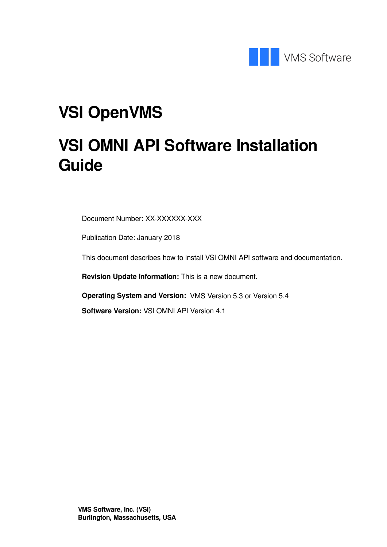

# **VSI OpenVMS**

# **VSI OMNI API Software Installation Guide**

Document Number: XX-XXXXXX-XXX

Publication Date: January 2018

This document describes how to install VSI OMNI API software and documentation.

**Revision Update Information:** This is a new document.

**Operating System and Version:** VMS Version 5.3 or Version 5.4

**Software Version:** VSI OMNI API Version 4.1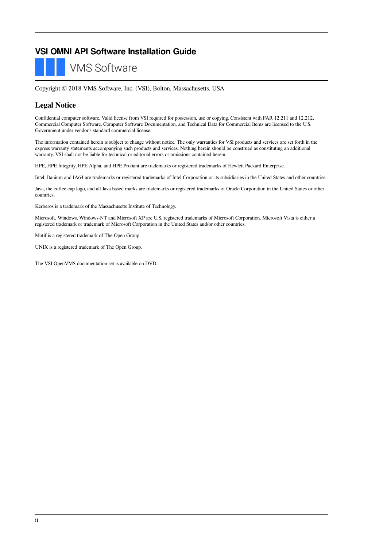### **VSI OMNI API Software Installation Guide**

**VMS Software** 

Copyright © 2018 VMS Software, Inc. (VSI), Bolton, Massachusetts, USA

### **Legal Notice**

Confidential computer software. Valid license from VSI required for possession, use or copying. Consistent with FAR 12.211 and 12.212, Commercial Computer Software, Computer Software Documentation, and Technical Data for Commercial Items are licensed to the U.S. Government under vendor's standard commercial license.

The information contained herein is subject to change without notice. The only warranties for VSI products and services are set forth in the express warranty statements accompanying such products and services. Nothing herein should be construed as constituting an additional warranty. VSI shall not be liable for technical or editorial errors or omissions contained herein.

HPE, HPE Integrity, HPE Alpha, and HPE Proliant are trademarks or registered trademarks of Hewlett Packard Enterprise.

Intel, Itanium and IA64 are trademarks or registered trademarks of Intel Corporation or its subsidiaries in the United States and other countries.

Java, the coffee cup logo, and all Java based marks are trademarks or registered trademarks of Oracle Corporation in the United States or other countries.

Kerberos is a trademark of the Massachusetts Institute of Technology.

Microsoft, Windows, Windows-NT and Microsoft XP are U.S. registered trademarks of Microsoft Corporation. Microsoft Vista is either a registered trademark or trademark of Microsoft Corporation in the United States and/or other countries.

Motif is a registered trademark of The Open Group

UNIX is a registered trademark of The Open Group.

The VSI OpenVMS documentation set is available on DVD.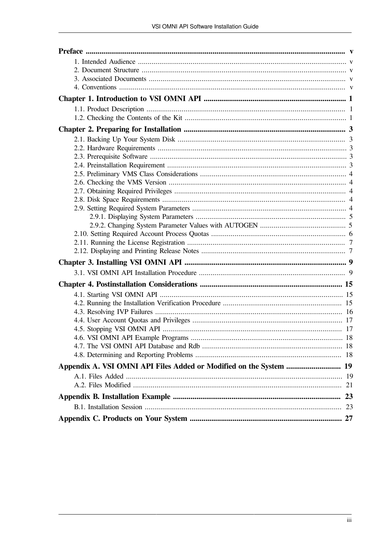| 4.6. VSI OMNI API Example Programs                                 |  |
|--------------------------------------------------------------------|--|
|                                                                    |  |
|                                                                    |  |
| Appendix A. VSI OMNI API Files Added or Modified on the System  19 |  |
|                                                                    |  |
|                                                                    |  |
|                                                                    |  |
|                                                                    |  |
|                                                                    |  |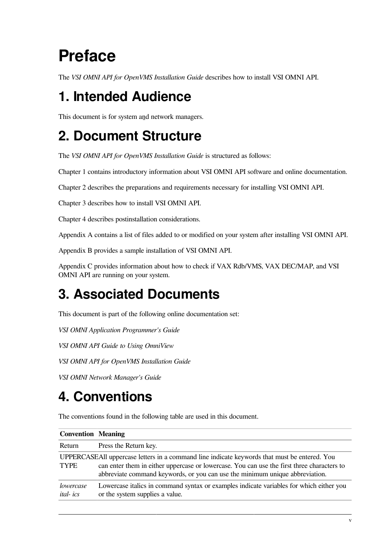# <span id="page-4-0"></span>**Preface**

The *VSI OMNI API for OpenVMS Installation Guide* describes how to install VSI OMNI API.

## <span id="page-4-1"></span>**1. Intended Audience**

This document is for system and network managers.

# <span id="page-4-2"></span>**2. Document Structure**

The *VSI OMNI API for OpenVMS Installation Guide* is structured as follows:

[Chapter](#page-6-0) 1 contains introductory information about VSI OMNI API software and online documentation.

[Chapter](#page-8-0) 2 describes the preparations and requirements necessary for installing VSI OMNI API.

[Chapter](#page-14-0) 3 describes how to install VSI OMNI API.

[Chapter](#page-20-0) 4 describes postinstallation considerations.

[Appendix](#page-24-0) A contains a list of files added to or modified on your system after installing VSI OMNI API.

[Appendix](#page-28-0) B provides a sample installation of VSI OMNI API.

[Appendix](#page-32-0) C provides information about how to check if VAX Rdb/VMS, VAX DEC/MAP, and VSI OMNI API are running on your system.

# <span id="page-4-3"></span>**3. Associated Documents**

This document is part of the following online documentation set:

*VSI OMNI Application Programmer's Guide*

*VSI OMNI API Guide to Using OmniView*

*VSI OMNI API for OpenVMS Installation Guide*

*VSI OMNI Network Manager's Guide*

# <span id="page-4-4"></span>**4. Conventions**

The conventions found in the following table are used in this document.

| <b>Convention   Meaning</b>  |                                                                                                                                                                                                                                                                            |
|------------------------------|----------------------------------------------------------------------------------------------------------------------------------------------------------------------------------------------------------------------------------------------------------------------------|
| Return                       | Press the Return key.                                                                                                                                                                                                                                                      |
| <b>TYPE</b>                  | UPPERCASEAII uppercase letters in a command line indicate keywords that must be entered. You<br>can enter them in either uppercase or lowercase. You can use the first three characters to<br>abbreviate command keywords, or you can use the minimum unique abbreviation. |
| lowercase<br><i>ital-ics</i> | Lowercase italics in command syntax or examples indicate variables for which either you<br>or the system supplies a value.                                                                                                                                                 |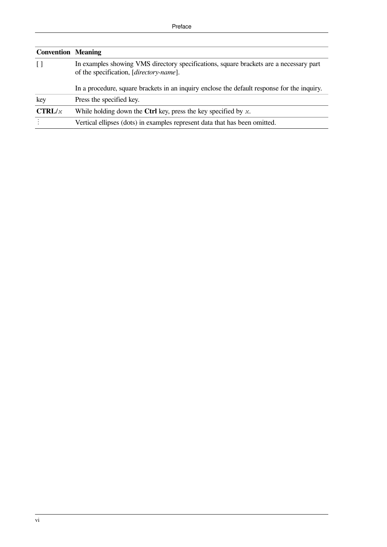| <b>Convention   Meaning</b> |                                                                                                                                   |  |
|-----------------------------|-----------------------------------------------------------------------------------------------------------------------------------|--|
|                             | In examples showing VMS directory specifications, square brackets are a necessary part<br>of the specification, [directory-name]. |  |
|                             | In a procedure, square brackets in an inquiry enclose the default response for the inquiry.                                       |  |
| key                         | Press the specified key.                                                                                                          |  |
| $\mathbf{CTRL}/x$           | While holding down the Ctrl key, press the key specified by $x$ .                                                                 |  |
|                             | Vertical ellipses (dots) in examples represent data that has been omitted.                                                        |  |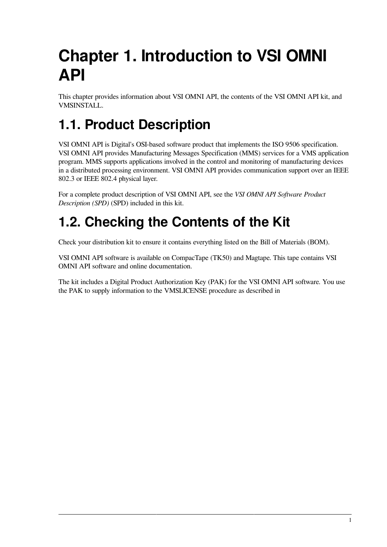# <span id="page-6-0"></span>**Chapter 1. Introduction to VSI OMNI API**

This chapter provides information about VSI OMNI API, the contents of the VSI OMNI API kit, and VMSINSTALL.

# <span id="page-6-1"></span>**1.1. Product Description**

VSI OMNI API is Digital's OSI-based software product that implements the ISO 9506 specification. VSI OMNI API provides Manufacturing Messages Specification (MMS) services for a VMS application program. MMS supports applications involved in the control and monitoring of manufacturing devices in a distributed processing environment. VSI OMNI API provides communication support over an IEEE 802.3 or IEEE 802.4 physical layer.

For a complete product description of VSI OMNI API, see the *VSI OMNI API Software Product Description (SPD)* (SPD) included in this kit.

# <span id="page-6-2"></span>**1.2. Checking the Contents of the Kit**

Check your distribution kit to ensure it contains everything listed on the Bill of Materials (BOM).

VSI OMNI API software is available on CompacTape (TK50) and Magtape. This tape contains VSI OMNI API software and online documentation.

The kit includes a Digital Product Authorization Key (PAK) for the VSI OMNI API software. You use the PAK to supply information to the VMSLICENSE procedure as described in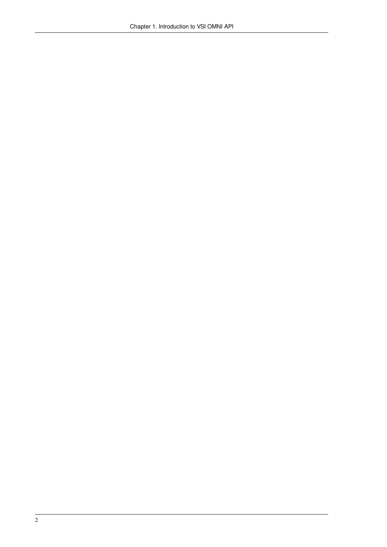Chapter 1. Introduction to VSI OMNI API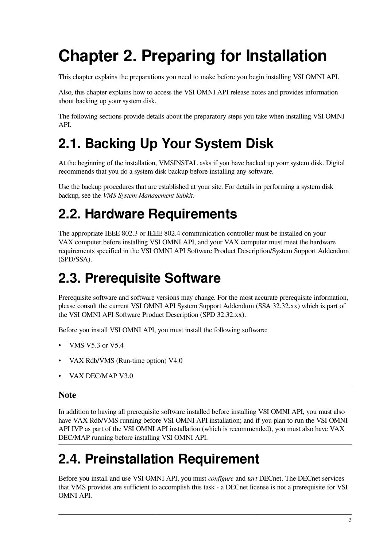# <span id="page-8-0"></span>**Chapter 2. Preparing for Installation**

This chapter explains the preparations you need to make before you begin installing VSI OMNI API.

Also, this chapter explains how to access the VSI OMNI API release notes and provides information about backing up your system disk.

The following sections provide details about the preparatory steps you take when installing VSI OMNI API.

# <span id="page-8-1"></span>**2.1. Backing Up Your System Disk**

At the beginning of the installation, VMSINSTAL asks if you have backed up your system disk. Digital recommends that you do a system disk backup before installing any software.

Use the backup procedures that are established at your site. For details in performing a system disk backup, see the *VMS System Management Subkit*.

# <span id="page-8-2"></span>**2.2. Hardware Requirements**

The appropriate IEEE 802.3 or IEEE 802.4 communication controller must be installed on your VAX computer before installing VSI OMNI API, and your VAX computer must meet the hardware requirements specified in the VSI OMNI API Software Product Description/System Support Addendum (SPD/SSA).

# <span id="page-8-3"></span>**2.3. Prerequisite Software**

Prerequisite software and software versions may change. For the most accurate prerequisite information, please consult the current VSI OMNI API System Support Addendum (SSA 32.32.xx) which is part of the VSI OMNI API Software Product Description (SPD 32.32.xx).

Before you install VSI OMNI API, you must install the following software:

- VMS V5.3 or V5.4
- VAX Rdb/VMS (Run-time option) V4.0
- VAX DEC/MAP V3.0

### **Note**

In addition to having all prerequisite software installed before installing VSI OMNI API, you must also have VAX Rdb/VMS running before VSI OMNI API installation; and if you plan to run the VSI OMNI API IVP as part of the VSI OMNI API installation (which is recommended), you must also have VAX DEC/MAP running before installing VSI OMNI API.

# <span id="page-8-4"></span>**2.4. Preinstallation Requirement**

Before you install and use VSI OMNI API, you must *configure* and *tart* DECnet. The DECnet services that VMS provides are sufficient to accomplish this task - a DECnet license is not a prerequisite for VSI OMNI API.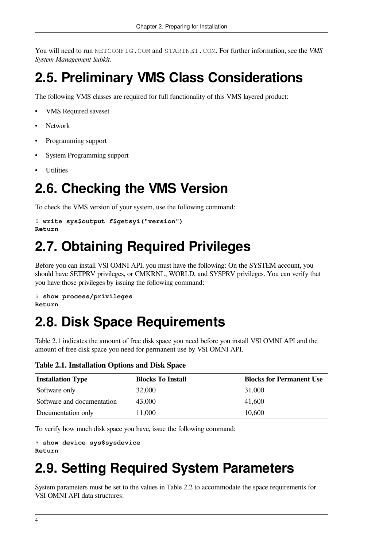You will need to run NETCONFIG.COM and STARTNET.COM. For further information, see the *VMS System Management Subkit*.

# <span id="page-9-0"></span>**2.5. Preliminary VMS Class Considerations**

The following VMS classes are required for full functionality of this VMS layered product:

- VMS Required saveset
- Network
- Programming support
- System Programming support
- **Utilities**

### <span id="page-9-1"></span>**2.6. Checking the VMS Version**

To check the VMS version of your system, use the following command:

```
$ write sys$output f$getsyi("version")
Return
```
# <span id="page-9-2"></span>**2.7. Obtaining Required Privileges**

Before you can install VSI OMNI API, you must have the following: On the SYSTEM account, you should have SETPRV privileges, or CMKRNL, WORLD, and SYSPRV privileges. You can verify that you have those privileges by issuing the following command:

```
$ show process/privileges
Return
```
# <span id="page-9-3"></span>**2.8. Disk Space Requirements**

[Table](#page-9-5) 2.1 indicates the amount of free disk space you need before you install VSI OMNI API and the amount of free disk space you need for permanent use by VSI OMNI API.

<span id="page-9-5"></span>**Table 2.1. Installation Options and Disk Space**

| <b>Installation Type</b>   | <b>Blocks</b> To Install | <b>Blocks for Permanent Use</b> |
|----------------------------|--------------------------|---------------------------------|
| Software only              | 32,000                   | 31,000                          |
| Software and documentation | 43,000                   | 41,600                          |
| Documentation only         | 11.000                   | 10.600                          |

To verify how much disk space you have, issue the following command:

```
$ show device sys$sysdevice
Return
```
# <span id="page-9-4"></span>**2.9. Setting Required System Parameters**

System parameters must be set to the values in [Table](#page-10-2) 2.2 to accommodate the space requirements for VSI OMNI API data structures: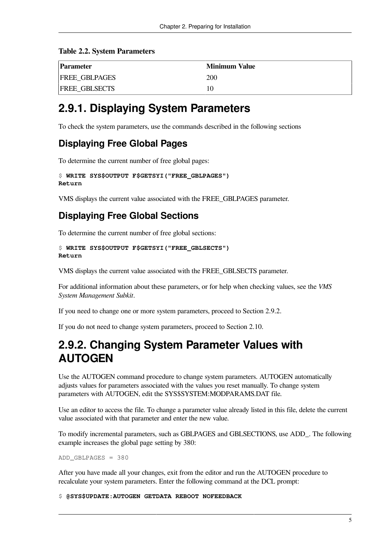#### <span id="page-10-2"></span>**Table 2.2. System Parameters**

| <b>Parameter</b>     | <b>Minimum Value</b> |
|----------------------|----------------------|
| <b>FREE GBLPAGES</b> | 200                  |
| <b>FREE_GBLSECTS</b> | 10                   |

### <span id="page-10-0"></span>**2.9.1. Displaying System Parameters**

To check the system parameters, use the commands described in the following sections

### **Displaying Free Global Pages**

To determine the current number of free global pages:

```
$ WRITE SYS$OUTPUT F$GETSYI("FREE_GBLPAGES")
Return
```
VMS displays the current value associated with the FREE\_GBLPAGES parameter.

### **Displaying Free Global Sections**

To determine the current number of free global sections:

```
$ WRITE SYS$OUTPUT F$GETSYI("FREE_GBLSECTS")
Return
```
VMS displays the current value associated with the FREE\_GBLSECTS parameter.

For additional information about these parameters, or for help when checking values, see the *VMS System Management Subkit*.

If you need to change one or more system parameters, proceed to [Section](#page-10-1) 2.9.2.

<span id="page-10-1"></span>If you do not need to change system parameters, proceed to [Section](#page-11-0) 2.10.

### **2.9.2. Changing System Parameter Values with AUTOGEN**

Use the AUTOGEN command procedure to change system parameters. AUTOGEN automatically adjusts values for parameters associated with the values you reset manually. To change system parameters with AUTOGEN, edit the SYS\$SYSTEM:MODPARAMS.DAT file.

Use an editor to access the file. To change a parameter value already listed in this file, delete the current value associated with that parameter and enter the new value.

To modify incremental parameters, such as GBLPAGES and GBLSECTIONS, use ADD\_. The following example increases the global page setting by 380:

ADD\_GBLPAGES = 380

After you have made all your changes, exit from the editor and run the AUTOGEN procedure to recalculate your system parameters. Enter the following command at the DCL prompt:

\$ **@SYS\$UPDATE:AUTOGEN GETDATA REBOOT NOFEEDBACK**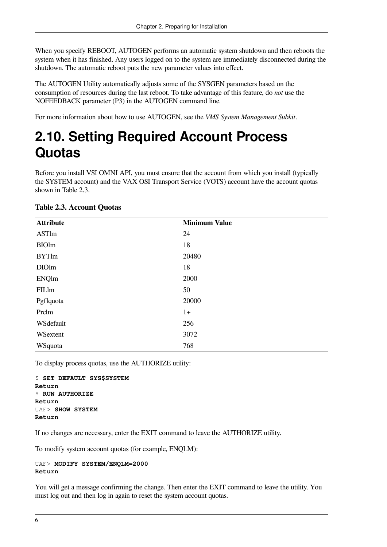When you specify REBOOT, AUTOGEN performs an automatic system shutdown and then reboots the system when it has finished. Any users logged on to the system are immediately disconnected during the shutdown. The automatic reboot puts the new parameter values into effect.

The AUTOGEN Utility automatically adjusts some of the SYSGEN parameters based on the consumption of resources during the last reboot. To take advantage of this feature, do *not* use the NOFEEDBACK parameter (P3) in the AUTOGEN command line.

For more information about how to use AUTOGEN, see the *VMS System Management Subkit*.

# <span id="page-11-0"></span>**2.10. Setting Required Account Process Quotas**

Before you install VSI OMNI API, you must ensure that the account from which you install (typically the SYSTEM account) and the VAX OSI Transport Service (VOTS) account have the account quotas shown in [Table](#page-11-1) 2.3.

| <b>Attribute</b> | <b>Minimum Value</b> |
|------------------|----------------------|
| <b>ASTIm</b>     | 24                   |
| <b>BIOlm</b>     | 18                   |
| <b>BYTlm</b>     | 20480                |
| <b>DIOlm</b>     | 18                   |
| <b>ENQlm</b>     | 2000                 |
| FILlm            | 50                   |
| Pgflquota        | 20000                |
| Prclm            | $1+$                 |
| WSdefault        | 256                  |
| WSextent         | 3072                 |
| WSquota          | 768                  |

<span id="page-11-1"></span>**Table 2.3. Account Quotas**

To display process quotas, use the AUTHORIZE utility:

```
$ SET DEFAULT SYS$SYSTEM
Return
$ RUN AUTHORIZE
Return
UAF> SHOW SYSTEM
Return
```
If no changes are necessary, enter the EXIT command to leave the AUTHORIZE utility.

To modify system account quotas (for example, ENQLM):

#### UAF> **MODIFY SYSTEM/ENQLM=2000 Return**

You will get a message confirming the change. Then enter the EXIT command to leave the utility. You must log out and then log in again to reset the system account quotas.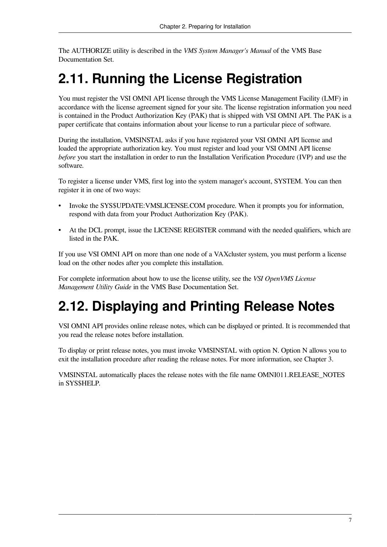The AUTHORIZE utility is described in the *VMS System Manager's Manual* of the VMS Base Documentation Set.

# <span id="page-12-0"></span>**2.11. Running the License Registration**

You must register the VSI OMNI API license through the VMS License Management Facility (LMF) in accordance with the license agreement signed for your site. The license registration information you need is contained in the Product Authorization Key (PAK) that is shipped with VSI OMNI API. The PAK is a paper certificate that contains information about your license to run a particular piece of software.

During the installation, VMSINSTAL asks if you have registered your VSI OMNI API license and loaded the appropriate authorization key. You must register and load your VSI OMNI API license *before* you start the installation in order to run the Installation Verification Procedure (IVP) and use the software.

To register a license under VMS, first log into the system manager's account, SYSTEM. You can then register it in one of two ways:

- Invoke the SYS\$UPDATE: VMSLICENSE.COM procedure. When it prompts you for information, respond with data from your Product Authorization Key (PAK).
- At the DCL prompt, issue the LICENSE REGISTER command with the needed qualifiers, which are listed in the PAK.

If you use VSI OMNI API on more than one node of a VAXcluster system, you must perform a license load on the other nodes after you complete this installation.

For complete information about how to use the license utility, see the *VSI OpenVMS License Management Utility Guide* in the VMS Base Documentation Set.

# <span id="page-12-1"></span>**2.12. Displaying and Printing Release Notes**

VSI OMNI API provides online release notes, which can be displayed or printed. It is recommended that you read the release notes before installation.

To display or print release notes, you must invoke VMSINSTAL with option N. Option N allows you to exit the installation procedure after reading the release notes. For more information, see [Chapter](#page-14-0) 3.

VMSINSTAL automatically places the release notes with the file name OMNI011.RELEASE\_NOTES in SYS\$HELP.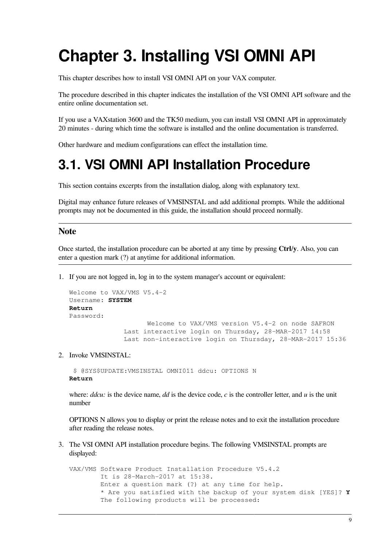# <span id="page-14-0"></span>**Chapter 3. Installing VSI OMNI API**

This chapter describes how to install VSI OMNI API on your VAX computer.

The procedure described in this chapter indicates the installation of the VSI OMNI API software and the entire online documentation set.

If you use a VAXstation 3600 and the TK50 medium, you can install VSI OMNI API in approximately 20 minutes - during which time the software is installed and the online documentation is transferred.

<span id="page-14-1"></span>Other hardware and medium configurations can effect the installation time.

### **3.1. VSI OMNI API Installation Procedure**

This section contains excerpts from the installation dialog, along with explanatory text.

Digital may enhance future releases of VMSINSTAL and add additional prompts. While the additional prompts may not be documented in this guide, the installation should proceed normally.

#### **Note**

Once started, the installation procedure can be aborted at any time by pressing **Ctrl**/**y**. Also, you can enter a question mark (?) at anytime for additional information.

1. If you are not logged in, log in to the system manager's account or equivalent:

```
Welcome to VAX/VMS V5.4-2
Username: SYSTEM
Return
Password:
                     Welcome to VAX/VMS version V5.4-2 on node SAFRON
               Last interactive login on Thursday, 28-MAR-2017 14:58
               Last non-interactive login on Thursday, 28-MAR-2017 15:36
```
2. Invoke VMSINSTAL:

```
 $ @SYS$UPDATE:VMSINSTAL OMNI011 ddcu: OPTIONS N
Return
```
where: *ddcu:* is the device name, *dd* is the device code, *c* is the controller letter, and *u* is the unit number

OPTIONS N allows you to display or print the release notes and to exit the installation procedure after reading the release notes.

3. The VSI OMNI API installation procedure begins. The following VMSINSTAL prompts are displayed:

VAX/VMS Software Product Installation Procedure V5.4.2 It is 28-March-2017 at 15:38. Enter a question mark (?) at any time for help. \* Are you satisfied with the backup of your system disk [YES]? **Y** The following products will be processed: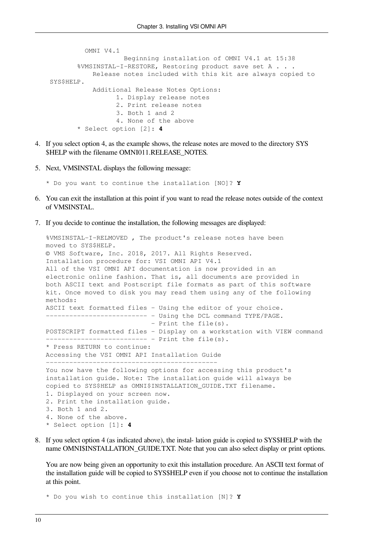```
 OMNI V4.1
                    Beginning installation of OMNI V4.1 at 15:38
        %VMSINSTAL-I-RESTORE, Restoring product save set A . . .
            Release notes included with this kit are always copied to
 SYS$HELP.
            Additional Release Notes Options:
                   1. Display release notes
                   2. Print release notes
                   3. Both 1 and 2
                   4. None of the above
        * Select option [2]: 4
```
- 4. If you select option 4, as the example shows, the release notes are moved to the directory SYS \$HELP with the filename OMNI011.RELEASE\_NOTES.
- 5. Next, VMSINSTAL displays the following message:

\* Do you want to continue the installation [NO]? **Y**

- 6. You can exit the installation at this point if you want to read the release notes outside of the context of VMSINSTAL.
- 7. If you decide to continue the installation, the following messages are displayed:

```
%VMSINSTAL-I-RELMOVED , The product's release notes have been
moved to SYS$HELP.
© VMS Software, Inc. 2018, 2017. All Rights Reserved.
Installation procedure for: VSI OMNI API V4.1
All of the VSI OMNI API documentation is now provided in an
electronic online fashion. That is, all documents are provided in
both ASCII text and Postscript file formats as part of this software
kit. Once moved to disk you may read them using any of the following
methods:
ASCII text formatted files - Using the editor of your choice.
-------------------------- - Using the DCL command TYPE/PAGE.
                            - Print the file(s).
POSTSCRIPT formatted files - Display on a workstation with VIEW command
-------------------------- - Print the file(s).
* Press RETURN to continue:
Accessing the VSI OMNI API Installation Guide
--------------------------------------------
You now have the following options for accessing this product's
installation guide. Note: The installation guide will always be
copied to SYS$HELP as OMNI$INSTALLATION_GUIDE.TXT filename.
1. Displayed on your screen now.
2. Print the installation guide.
3. Both 1 and 2.
4. None of the above.
* Select option [1]: 4
```
8. If you select option 4 (as indicated above), the instal- lation guide is copied to SYS\$HELP with the name OMNI\$INSTALLATION\_GUIDE.TXT. Note that you can also select display or print options.

You are now being given an opportunity to exit this installation procedure. An ASCII text format of the installation guide will be copied to SYS\$HELP even if you choose not to continue the installation at this point.

\* Do you wish to continue this installation [N]? **Y**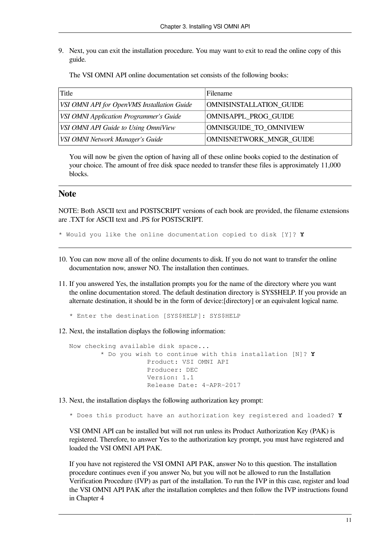9. Next, you can exit the installation procedure. You may want to exit to read the online copy of this guide.

The VSI OMNI API online documentation set consists of the following books:

| Title                                       | Filename                 |
|---------------------------------------------|--------------------------|
| VSI OMNI API for OpenVMS Installation Guide | OMNI\$INSTALLATION GUIDE |
| VSI OMNI Application Programmer's Guide     | OMNI\$APPL_PROG_GUIDE    |
| VSI OMNI API Guide to Using OmniView        | OMNI\$GUIDE TO OMNIVIEW  |
| VSI OMNI Network Manager's Guide            | OMNI\$NETWORK MNGR GUIDE |

You will now be given the option of having all of these online books copied to the destination of your choice. The amount of free disk space needed to transfer these files is approximately 11,000 blocks.

#### **Note**

NOTE: Both ASCII text and POSTSCRIPT versions of each book are provided, the filename extensions are .TXT for ASCII text and .PS for POSTSCRIPT.

\* Would you like the online documentation copied to disk [Y]? **Y**

- 10. You can now move all of the online documents to disk. If you do not want to transfer the online documentation now, answer NO. The installation then continues.
- 11. If you answered Yes, the installation prompts you for the name of the directory where you want the online documentation stored. The default destination directory is SYS\$HELP. If you provide an alternate destination, it should be in the form of device:[directory] or an equivalent logical name.
	- \* Enter the destination [SYS\$HELP]: SYS\$HELP

12. Next, the installation displays the following information:

```
Now checking available disk space...
         * Do you wish to continue with this installation [N]? Y
                      Product: VSI OMNI API
                     Producer: DEC
                     Version: 1.1
                     Release Date: 4-APR-2017
```
13. Next, the installation displays the following authorization key prompt:

\* Does this product have an authorization key registered and loaded? **Y**

VSI OMNI API can be installed but will not run unless its Product Authorization Key (PAK) is registered. Therefore, to answer Yes to the authorization key prompt, you must have registered and loaded the VSI OMNI API PAK.

If you have not registered the VSI OMNI API PAK, answer No to this question. The installation procedure continues even if you answer No, but you will not be allowed to run the Installation Verification Procedure (IVP) as part of the installation. To run the IVP in this case, register and load the VSI OMNI API PAK after the installation completes and then follow the IVP instructions found in [Chapter](#page-20-0) 4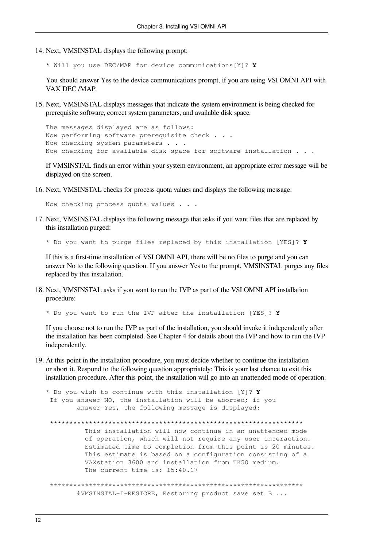14. Next, VMSINSTAL displays the following prompt:

\* Will you use DEC/MAP for device communications[Y]? **Y**

You should answer Yes to the device communications prompt, if you are using VSI OMNI API with VAX DEC /MAP.

15. Next, VMSINSTAL displays messages that indicate the system environment is being checked for prerequisite software, correct system parameters, and available disk space.

```
The messages displayed are as follows:
Now performing software prerequisite check . . .
Now checking system parameters . . .
Now checking for available disk space for software installation . . .
```
If VMSINSTAL finds an error within your system environment, an appropriate error message will be displayed on the screen.

16. Next, VMSINSTAL checks for process quota values and displays the following message:

Now checking process quota values **. . .**

17. Next, VMSINSTAL displays the following message that asks if you want files that are replaced by this installation purged:

\* Do you want to purge files replaced by this installation [YES]? **Y**

If this is a first-time installation of VSI OMNI API, there will be no files to purge and you can answer No to the following question. If you answer Yes to the prompt, VMSINSTAL purges any files replaced by this installation.

18. Next, VMSINSTAL asks if you want to run the IVP as part of the VSI OMNI API installation procedure:

\* Do you want to run the IVP after the installation [YES]? **Y**

If you choose not to run the IVP as part of the installation, you should invoke it independently after the installation has been completed. See [Chapter](#page-20-0) 4 for details about the IVP and how to run the IVP independently.

19. At this point in the installation procedure, you must decide whether to continue the installation or abort it. Respond to the following question appropriately: This is your last chance to exit this installation procedure. After this point, the installation will go into an unattended mode of operation.

```
* Do you wish to continue with this installation [Y]? Y
 If you answer NO, the installation will be aborted; if you
        answer Yes, the following message is displayed:
  *****************************************************************
           This installation will now continue in an unattended mode
           of operation, which will not require any user interaction.
          Estimated time to completion from this point is 20 minutes.
          This estimate is based on a configuration consisting of a
          VAXstation 3600 and installation from TK50 medium.
           The current time is: 15:40.17
  *****************************************************************
         %VMSINSTAL-I-RESTORE, Restoring product save set B ...
```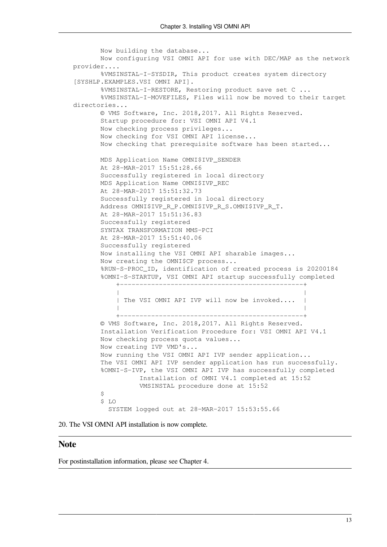```
 Now building the database...
        Now configuring VSI OMNI API for use with DEC/MAP as the network
 provider....
        %VMSINSTAL-I-SYSDIR, This product creates system directory
 [SYSHLP.EXAMPLES.VSI OMNI API].
        %VMSINSTAL-I-RESTORE, Restoring product save set C ...
        %VMSINSTAL-I-MOVEFILES, Files will now be moved to their target
 directories...
        © VMS Software, Inc. 2018,2017. All Rights Reserved.
        Startup procedure for: VSI OMNI API V4.1
        Now checking process privileges...
        Now checking for VSI OMNI API license...
        Now checking that prerequisite software has been started...
        MDS Application Name OMNI$IVP_SENDER
        At 28-MAR-2017 15:51:28.66
        Successfully registered in local directory
        MDS Application Name OMNI$IVP_REC
        At 28-MAR-2017 15:51:32.73
        Successfully registered in local directory
       Address OMNI$IVP R P.OMNI$IVP R S.OMNI$IVP R T.
        At 28-MAR-2017 15:51:36.83
        Successfully registered
        SYNTAX TRANSFORMATION MMS-PCI
        At 28-MAR-2017 15:51:40.06
        Successfully registered
        Now installing the VSI OMNI API sharable images...
        Now creating the OMNI$CP process...
        %RUN-S-PROC_ID, identification of created process is 20200184
        %OMNI-S-STARTUP, VSI OMNI API startup successfully completed
            +-----------------------------------------------+
 | |
            | The VSI OMNI API IVP will now be invoked.... |
 | |
            +-----------------------------------------------+
        © VMS Software, Inc. 2018,2017. All Rights Reserved.
        Installation Verification Procedure for: VSI OMNI API V4.1
        Now checking process quota values...
        Now creating IVP VMD's...
        Now running the VSI OMNI API IVP sender application...
        The VSI OMNI API IVP sender application has run successfully.
        %OMNI-S-IVP, the VSI OMNI API IVP has successfully completed
                  Installation of OMNI V4.1 completed at 15:52
                  VMSINSTAL procedure done at 15:52
        $
        $ LO
          SYSTEM logged out at 28-MAR-2017 15:53:55.66
```
20. The VSI OMNI API installation is now complete.

#### **Note**

For postinstallation information, please see [Chapter](#page-20-0) 4.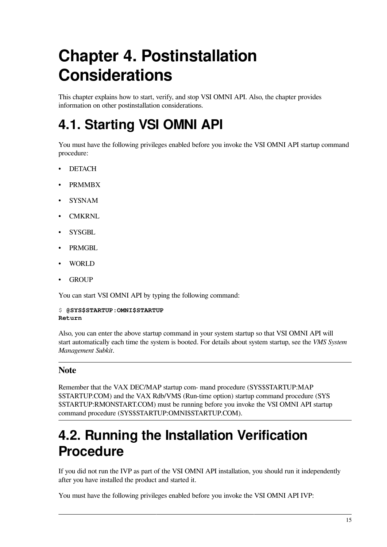# <span id="page-20-0"></span>**Chapter 4. Postinstallation Considerations**

This chapter explains how to start, verify, and stop VSI OMNI API. Also, the chapter provides information on other postinstallation considerations.

# <span id="page-20-1"></span>**4.1. Starting VSI OMNI API**

You must have the following privileges enabled before you invoke the VSI OMNI API startup command procedure:

- DETACH
- PRMMBX
- **SYSNAM**
- CMKRNL
- SYSGBL
- PRMGBL
- WORLD
- GROUP

You can start VSI OMNI API by typing the following command:

#### \$ **@SYS\$STARTUP:OMNI\$STARTUP Return**

Also, you can enter the above startup command in your system startup so that VSI OMNI API will start automatically each time the system is booted. For details about system startup, see the *VMS System Management Subkit*.

### **Note**

Remember that the VAX DEC/MAP startup com- mand procedure (SYS\$STARTUP:MAP \$STARTUP.COM) and the VAX Rdb/VMS (Run-time option) startup command procedure (SYS \$STARTUP:RMONSTART.COM) must be running before you invoke the VSI OMNI API startup command procedure (SYS\$STARTUP:OMNI\$STARTUP.COM).

### <span id="page-20-2"></span>**4.2. Running the Installation Verification Procedure**

If you did not run the IVP as part of the VSI OMNI API installation, you should run it independently after you have installed the product and started it.

You must have the following privileges enabled before you invoke the VSI OMNI API IVP: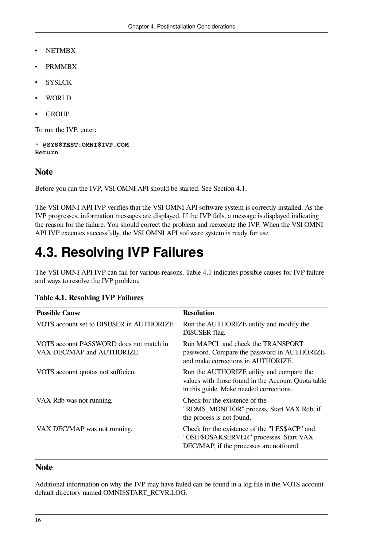- NETMBX
- PRMMBX
- **SYSLCK**
- WORLD
- **GROUP**

To run the IVP, enter:

#### \$ **@SYS\$TEST:OMNI\$IVP.COM Return**

### **Note**

Before you run the IVP, VSI OMNI API should be started. See [Section](#page-20-1) 4.1.

The VSI OMNI API IVP verifies that the VSI OMNI API software system is correctly installed. As the IVP progresses, information messages are displayed. If the IVP fails, a message is displayed indicating the reason for the failure. You should correct the problem and reexecute the IVP. When the VSI OMNI API IVP executes successfully, the VSI OMNI API software system is ready for use.

# <span id="page-21-0"></span>**4.3. Resolving IVP Failures**

The VSI OMNI API IVP can fail for various reasons. [Table](#page-21-1) 4.1 indicates possible causes for IVP failure and ways to resolve the IVP problem.

<span id="page-21-1"></span>

| <b>Table 4.1. Resolving IVP Failures</b> |  |  |  |
|------------------------------------------|--|--|--|
|------------------------------------------|--|--|--|

| <b>Possible Cause</b>                                                | <b>Resolution</b>                                                                                                                          |
|----------------------------------------------------------------------|--------------------------------------------------------------------------------------------------------------------------------------------|
| VOTS account set to DISUSER in AUTHORIZE                             | Run the AUTHORIZE utility and modify the<br>DISUSER flag.                                                                                  |
| VOTS account PASSWORD does not match in<br>VAX DEC/MAP and AUTHORIZE | Run MAPCL and check the TRANSPORT<br>password. Compare the password in AUTHORIZE<br>and make corrections in AUTHORIZE.                     |
| VOTS account quotas not sufficient                                   | Run the AUTHORIZE utility and compare the<br>values with those found in the Account Quota table<br>in this guide. Make needed corrections. |
| VAX Rdb was not running.                                             | Check for the existence of the<br>"RDMS_MONITOR" process. Start VAX Rdb, if<br>the process is not found.                                   |
| VAX DEC/MAP was not running.                                         | Check for the existence of the "LES\$ACP" and<br>"OSIF\$OSAKSERVER" processes. Start VAX<br>DEC/MAP, if the processes are notfound.        |

### **Note**

Additional information on why the IVP may have failed can be found in a log file in the VOTS account default directory named OMNI\$START\_RCVR.LOG.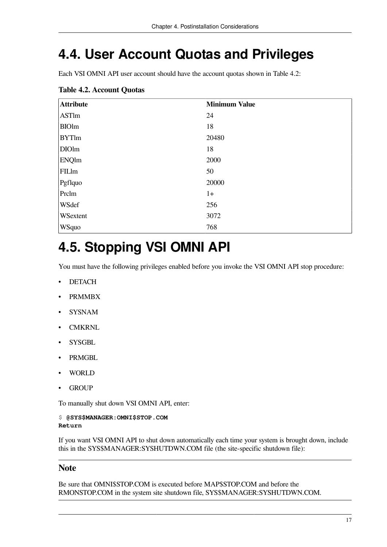### <span id="page-22-0"></span>**4.4. User Account Quotas and Privileges**

<span id="page-22-2"></span>Each VSI OMNI API user account should have the account quotas shown in [Table](#page-22-2) 4.2:

| <b>Attribute</b> | <b>Minimum Value</b> |
|------------------|----------------------|
| <b>ASTlm</b>     | 24                   |
| <b>BIOlm</b>     | 18                   |
| <b>BYTIm</b>     | 20480                |
| <b>DIOlm</b>     | 18                   |
| <b>ENQlm</b>     | 2000                 |
| FILlm            | 50                   |
| Pgflquo          | 20000                |
| Prclm            | $1+$                 |
| WSdef            | 256                  |
| WSextent         | 3072                 |
| <b>WSquo</b>     | 768                  |

**Table 4.2. Account Quotas**

# <span id="page-22-1"></span>**4.5. Stopping VSI OMNI API**

You must have the following privileges enabled before you invoke the VSI OMNI API stop procedure:

- DETACH
- PRMMBX
- SYSNAM
- CMKRNL
- SYSGBL
- PRMGBL
- WORLD
- GROUP

To manually shut down VSI OMNI API, enter:

#### \$ **@SYS\$MANAGER:OMNI\$STOP.COM Return**

If you want VSI OMNI API to shut down automatically each time your system is brought down, include this in the SYS\$MANAGER:SYSHUTDWN.COM file (the site-specific shutdown file):

#### **Note**

Be sure that OMNI\$STOP.COM is executed before MAP\$STOP.COM and before the RMONSTOP.COM in the system site shutdown file, SYS\$MANAGER:SYSHUTDWN.COM.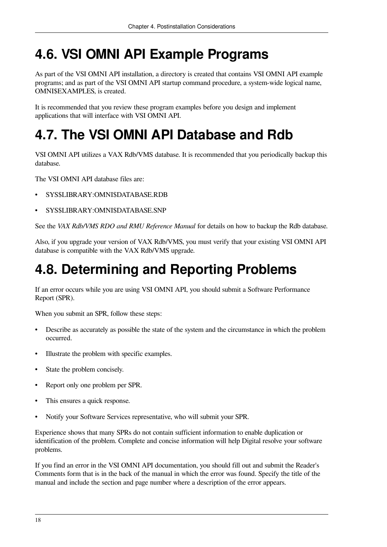# <span id="page-23-0"></span>**4.6. VSI OMNI API Example Programs**

As part of the VSI OMNI API installation, a directory is created that contains VSI OMNI API example programs; and as part of the VSI OMNI API startup command procedure, a system-wide logical name, OMNI\$EXAMPLES, is created.

It is recommended that you review these program examples before you design and implement applications that will interface with VSI OMNI API.

# <span id="page-23-1"></span>**4.7. The VSI OMNI API Database and Rdb**

VSI OMNI API utilizes a VAX Rdb/VMS database. It is recommended that you periodically backup this database.

The VSI OMNI API database files are:

- SYS\$LIBRARY:OMNI\$DATABASE.RDB
- SYS\$LIBRARY:OMNI\$DATABASE.SNP

See the *VAX Rdb/VMS RDO and RMU Reference Manual* for details on how to backup the Rdb database.

Also, if you upgrade your version of VAX Rdb/VMS, you must verify that your existing VSI OMNI API database is compatible with the VAX Rdb/VMS upgrade.

### <span id="page-23-2"></span>**4.8. Determining and Reporting Problems**

If an error occurs while you are using VSI OMNI API, you should submit a Software Performance Report (SPR).

When you submit an SPR, follow these steps:

- Describe as accurately as possible the state of the system and the circumstance in which the problem occurred.
- Illustrate the problem with specific examples.
- State the problem concisely.
- Report only one problem per SPR.
- This ensures a quick response.
- Notify your Software Services representative, who will submit your SPR.

Experience shows that many SPRs do not contain sufficient information to enable duplication or identification of the problem. Complete and concise information will help Digital resolve your software problems.

If you find an error in the VSI OMNI API documentation, you should fill out and submit the Reader's Comments form that is in the back of the manual in which the error was found. Specify the title of the manual and include the section and page number where a description of the error appears.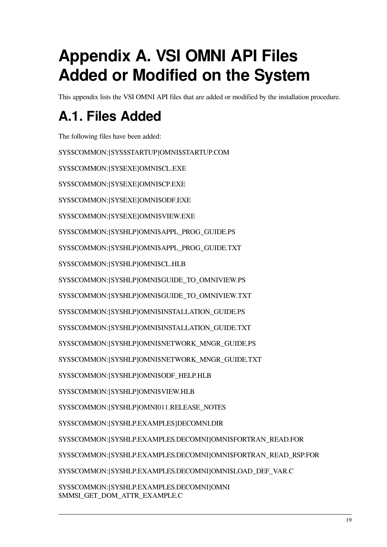# <span id="page-24-0"></span>**Appendix A. VSI OMNI API Files Added or Modified on the System**

This appendix lists the VSI OMNI API files that are added or modified by the installation procedure.

# <span id="page-24-1"></span>**A.1. Files Added**

The following files have been added: SYS\$COMMON:[SYS\$STARTUP]OMNI\$STARTUP.COM SYS\$COMMON:[SYSEXE]OMNI\$CL.EXE SYS\$COMMON:[SYSEXE]OMNI\$CP.EXE SYS\$COMMON:[SYSEXE]OMNI\$ODF.EXE SYS\$COMMON:[SYSEXE]OMNI\$VIEW.EXE SYS\$COMMON:[SYSHLP]OMNI\$APPL\_PROG\_GUIDE.PS SYS\$COMMON:[SYSHLP]OMNI\$APPL\_PROG\_GUIDE.TXT SYS\$COMMON:[SYSHLP]OMNI\$CL.HLB SYS\$COMMON:[SYSHLP]OMNI\$GUIDE\_TO\_OMNIVIEW.PS SYS\$COMMON:[SYSHLP]OMNI\$GUIDE\_TO\_OMNIVIEW.TXT SYS\$COMMON:[SYSHLP]OMNI\$INSTALLATION\_GUIDE.PS SYS\$COMMON:[SYSHLP]OMNI\$INSTALLATION\_GUIDE.TXT SYS\$COMMON:[SYSHLP]OMNI\$NETWORK\_MNGR\_GUIDE.PS SYS\$COMMON:[SYSHLP]OMNI\$NETWORK\_MNGR\_GUIDE.TXT SYS\$COMMON:[SYSHLP]OMNI\$ODF\_HELP.HLB SYS\$COMMON:[SYSHLP]OMNI\$VIEW.HLB SYS\$COMMON:[SYSHLP]OMNI011.RELEASE\_NOTES SYS\$COMMON:[SYSHLP.EXAMPLES]DECOMNI.DIR SYS\$COMMON:[SYSHLP.EXAMPLES.DECOMNI]OMNI\$FORTRAN\_READ.FOR SYS\$COMMON:[SYSHLP.EXAMPLES.DECOMNI]OMNI\$FORTRAN\_READ\_RSP.FOR SYS\$COMMON:[SYSHLP.EXAMPLES.DECOMNI]OMNI\$LOAD\_DEF\_VAR.C SYS\$COMMON:[SYSHLP.EXAMPLES.DECOMNI]OMNI \$MMSI\_GET\_DOM\_ATTR\_EXAMPLE.C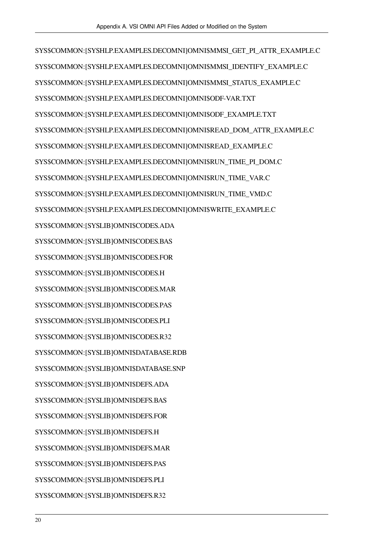SYS\$COMMON:[SYSHLP.EXAMPLES.DECOMNI]OMNI\$MMSI\_GET\_PI\_ATTR\_EXAMPLE.C SYS\$COMMON:[SYSHLP.EXAMPLES.DECOMNI]OMNI\$MMSI\_IDENTIFY\_EXAMPLE.C SYS\$COMMON:[SYSHLP.EXAMPLES.DECOMNI]OMNI\$MMSI\_STATUS\_EXAMPLE.C SYS\$COMMON:[SYSHLP.EXAMPLES.DECOMNI]OMNI\$ODF-VAR.TXT SYS\$COMMON:[SYSHLP.EXAMPLES.DECOMNI]OMNI\$ODF\_EXAMPLE.TXT SYS\$COMMON:[SYSHLP.EXAMPLES.DECOMNI]OMNI\$READ\_DOM\_ATTR\_EXAMPLE.C SYS\$COMMON:[SYSHLP.EXAMPLES.DECOMNI]OMNI\$READ\_EXAMPLE.C SYS\$COMMON:[SYSHLP.EXAMPLES.DECOMNI]OMNI\$RUN\_TIME\_PI\_DOM.C SYS\$COMMON:[SYSHLP.EXAMPLES.DECOMNI]OMNI\$RUN\_TIME\_VAR.C SYS\$COMMON:[SYSHLP.EXAMPLES.DECOMNI]OMNI\$RUN\_TIME\_VMD.C SYS\$COMMON:[SYSHLP.EXAMPLES.DECOMNI]OMNI\$WRITE\_EXAMPLE.C SYS\$COMMON:[SYSLIB]OMNI\$CODES.ADA SYS\$COMMON:[SYSLIB]OMNI\$CODES.BAS SYS\$COMMON:[SYSLIB]OMNI\$CODES.FOR SYS\$COMMON:[SYSLIB]OMNI\$CODES.H SYS\$COMMON:[SYSLIB]OMNI\$CODES.MAR SYS\$COMMON:[SYSLIB]OMNI\$CODES.PAS SYS\$COMMON:[SYSLIB]OMNI\$CODES.PLI SYS\$COMMON:[SYSLIB]OMNI\$CODES.R32 SYS\$COMMON:[SYSLIB]OMNI\$DATABASE.RDB SYS\$COMMON:[SYSLIB]OMNI\$DATABASE.SNP SYS\$COMMON:[SYSLIB]OMNI\$DEFS.ADA SYS\$COMMON:[SYSLIB]OMNI\$DEFS.BAS SYS\$COMMON:[SYSLIB]OMNI\$DEFS.FOR SYS\$COMMON:[SYSLIB]OMNI\$DEFS.H SYS\$COMMON:[SYSLIB]OMNI\$DEFS.MAR SYS\$COMMON:[SYSLIB]OMNI\$DEFS.PAS SYS\$COMMON:[SYSLIB]OMNI\$DEFS.PLI SYS\$COMMON:[SYSLIB]OMNI\$DEFS.R32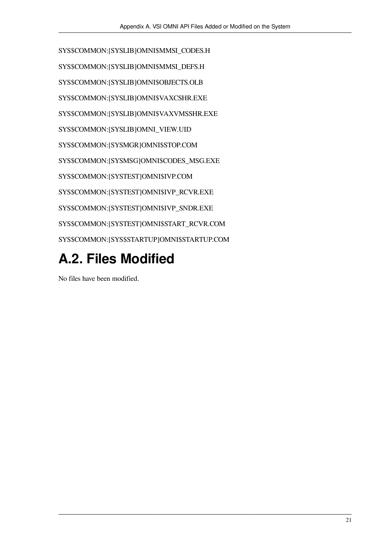SYS\$COMMON:[SYSLIB]OMNI\$MMSI\_CODES.H SYS\$COMMON:[SYSLIB]OMNI\$MMSI\_DEFS.H SYS\$COMMON:[SYSLIB]OMNI\$OBJECTS.OLB SYS\$COMMON:[SYSLIB]OMNI\$VAXCSHR.EXE SYS\$COMMON:[SYSLIB]OMNI\$VAXVMSSHR.EXE SYS\$COMMON:[SYSLIB]OMNI\_VIEW.UID SYS\$COMMON:[SYSMGR]OMNI\$STOP.COM SYS\$COMMON:[SYSMSG]OMNI\$CODES\_MSG.EXE SYS\$COMMON:[SYSTEST]OMNI\$IVP.COM SYS\$COMMON:[SYSTEST]OMNI\$IVP\_RCVR.EXE SYS\$COMMON:[SYSTEST]OMNI\$IVP\_SNDR.EXE SYS\$COMMON:[SYSTEST]OMNI\$START\_RCVR.COM SYS\$COMMON:[SYS\$STARTUP]OMNI\$STARTUP.COM

# <span id="page-26-0"></span>**A.2. Files Modified**

No files have been modified.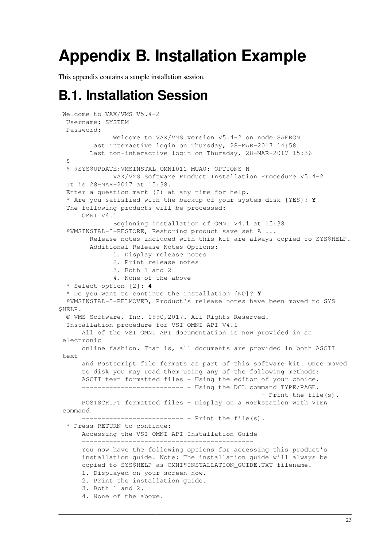# <span id="page-28-0"></span>**Appendix B. Installation Example**

<span id="page-28-1"></span>This appendix contains a sample installation session.

### **B.1. Installation Session**

```
Welcome to VAX/VMS V5.4-2
  Username: SYSTEM
  Password:
               Welcome to VAX/VMS version V5.4-2 on node SAFRON
         Last interactive login on Thursday, 28-MAR-2017 14:58
         Last non-interactive login on Thursday, 28-MAR-2017 15:36
 \mathsf{S} $ @SYS$UPDATE:VMSINSTAL OMNI011 MUA0: OPTIONS N
               VAX/VMS Software Product Installation Procedure V5.4-2
  It is 28-MAR-2017 at 15:38.
  Enter a question mark (?) at any time for help.
  * Are you satisfied with the backup of your system disk [YES]? Y
  The following products will be processed:
       OMNI V4.1
               Beginning installation of OMNI V4.1 at 15:38
  %VMSINSTAL-I-RESTORE, Restoring product save set A ...
         Release notes included with this kit are always copied to SYS$HELP.
         Additional Release Notes Options:
               1. Display release notes
               2. Print release notes
               3. Both 1 and 2
               4. None of the above
  * Select option [2]: 4
   * Do you want to continue the installation [NO]? Y
  %VMSINSTAL-I-RELMOVED, Product's release notes have been moved to SYS
$HELP.
  © VMS Software, Inc. 1990,2017. All Rights Reserved.
  Installation procedure for VSI OMNI API V4.1
       All of the VSI OMNI API documentation is now provided in an
 electronic
       online fashion. That is, all documents are provided in both ASCII
 text
       and Postscript file formats as part of this software kit. Once moved
       to disk you may read them using any of the following methods:
       ASCII text formatted files - Using the editor of your choice.
       -------------------------- - Using the DCL command TYPE/PAGE.
                                                      - Print the file(s).
       POSTSCRIPT formatted files - Display on a workstation with VIEW
 command
                      ----------- - Print the file(s).
   * Press RETURN to continue:
       Accessing the VSI OMNI API Installation Guide
       --------------------------------------------
       You now have the following options for accessing this product's
       installation guide. Note: The installation guide will always be
       copied to SYS$HELP as OMNI$INSTALLATION_GUIDE.TXT filename.
       1. Displayed on your screen now.
       2. Print the installation guide.
       3. Both 1 and 2.
       4. None of the above.
```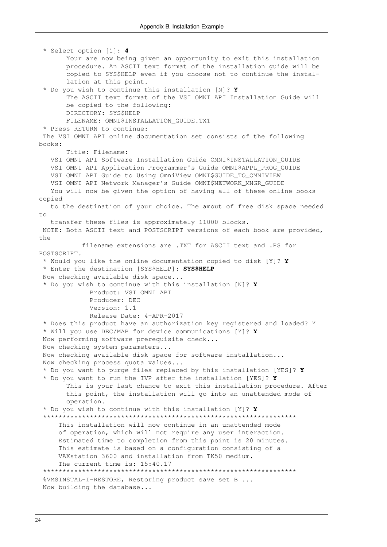\* Select option [1]: **4** Your are now being given an opportunity to exit this installation procedure. An ASCII text format of the installation guide will be copied to SYS\$HELP even if you choose not to continue the instal lation at this point. \* Do you wish to continue this installation [N]? **Y** The ASCII text format of the VSI OMNI API Installation Guide will be copied to the following: DIRECTORY: SYS\$HELP FILENAME: OMNI\$INSTALLATION\_GUIDE.TXT \* Press RETURN to continue: The VSI OMNI API online documentation set consists of the following books: Title: Filename: VSI OMNI API Software Installation Guide OMNI\$INSTALLATION\_GUIDE VSI OMNI API Application Programmer's Guide OMNI\$APPL\_PROG\_GUIDE VSI OMNI API Guide to Using OmniView OMNI\$GUIDE\_TO\_OMNIVIEW VSI OMNI API Network Manager's Guide OMNI\$NETWORK\_MNGR\_GUIDE You will now be given the option of having all of these online books copied to the destination of your choice. The amout of free disk space needed  $t \circ$  transfer these files is approximately 11000 blocks. NOTE: Both ASCII text and POSTSCRIPT versions of each book are provided,  $th$ e filename extensions are .TXT for ASCII text and .PS for POSTSCRIPT. \* Would you like the online documentation copied to disk [Y]? **Y** \* Enter the destination [SYS\$HELP]: **SYS\$HELP** Now checking available disk space... \* Do you wish to continue with this installation [N]? **Y** Product: VSI OMNI API Producer: DEC Version: 1.1 Release Date: 4-APR-2017 \* Does this product have an authorization key registered and loaded? Y \* Will you use DEC/MAP for device communications [Y]? **Y** Now performing software prerequisite check... Now checking system parameters... Now checking available disk space for software installation... Now checking process quota values... \* Do you want to purge files replaced by this installation [YES]? **Y** \* Do you want to run the IVP after the installation [YES]? **Y** This is your last chance to exit this installation procedure. After this point, the installation will go into an unattended mode of operation. \* Do you wish to continue with this installation [Y]? **Y** \*\*\*\*\*\*\*\*\*\*\*\*\*\*\*\*\*\*\*\*\*\*\*\*\*\*\*\*\*\*\*\*\*\*\*\*\*\*\*\*\*\*\*\*\*\*\*\*\*\*\*\*\*\*\*\*\*\*\*\*\*\*\*\*\* This installation will now continue in an unattended mode of operation, which will not require any user interaction. Estimated time to completion from this point is 20 minutes. This estimate is based on a configuration consisting of a VAXstation 3600 and installation from TK50 medium. The current time is: 15:40.17 \*\*\*\*\*\*\*\*\*\*\*\*\*\*\*\*\*\*\*\*\*\*\*\*\*\*\*\*\*\*\*\*\*\*\*\*\*\*\*\*\*\*\*\*\*\*\*\*\*\*\*\*\*\*\*\*\*\*\*\*\*\*\*\*\* %VMSINSTAL-I-RESTORE, Restoring product save set B ... Now building the database...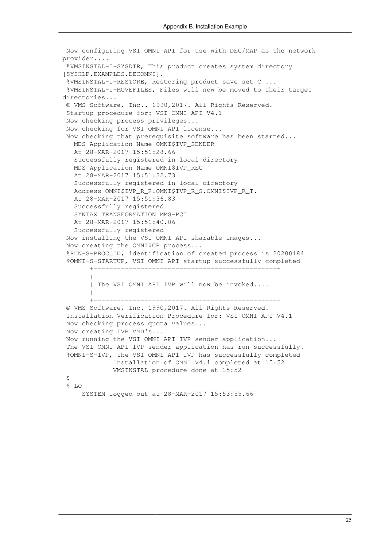```
 Now configuring VSI OMNI API for use with DEC/MAP as the network
 provider....
  %VMSINSTAL-I-SYSDIR, This product creates system directory
 [SYSHLP.EXAMPLES.DECOMNI].
  %VMSINSTAL-I-RESTORE, Restoring product save set C ...
  %VMSINSTAL-I-MOVEFILES, Files will now be moved to their target
 directories...
  © VMS Software, Inc.. 1990,2017. All Rights Reserved.
  Startup procedure for: VSI OMNI API V4.1
  Now checking process privileges...
  Now checking for VSI OMNI API license...
  Now checking that prerequisite software has been started...
    MDS Application Name OMNI$IVP_SENDER
    At 28-MAR-2017 15:51:28.66
    Successfully registered in local directory
    MDS Application Name OMNI$IVP_REC
    At 28-MAR-2017 15:51:32.73
    Successfully registered in local directory
    Address OMNI$IVP_R_P.OMNI$IVP_R_S.OMNI$IVP_R_T.
    At 28-MAR-2017 15:51:36.83
    Successfully registered
    SYNTAX TRANSFORMATION MMS-PCI
    At 28-MAR-2017 15:51:40.06
    Successfully registered
  Now installing the VSI OMNI API sharable images...
  Now creating the OMNI$CP process...
  %RUN-S-PROC_ID, identification of created process is 20200184
  %OMNI-S-STARTUP, VSI OMNI API startup successfully completed
        +-----------------------------------------------+
 | |
       | The VSI OMNI API IVP will now be invoked....
 | |
        +-----------------------------------------------+
  © VMS Software, Inc. 1990,2017. All Rights Reserved.
  Installation Verification Procedure for: VSI OMNI API V4.1
  Now checking process quota values...
  Now creating IVP VMD's...
  Now running the VSI OMNI API IVP sender application...
  The VSI OMNI API IVP sender application has run successfully.
  %OMNI-S-IVP, the VSI OMNI API IVP has successfully completed
              Installation of OMNI V4.1 completed at 15:52
              VMSINSTAL procedure done at 15:52
 \mathsf{S} $ LO
      SYSTEM logged out at 28-MAR-2017 15:53:55.66
```